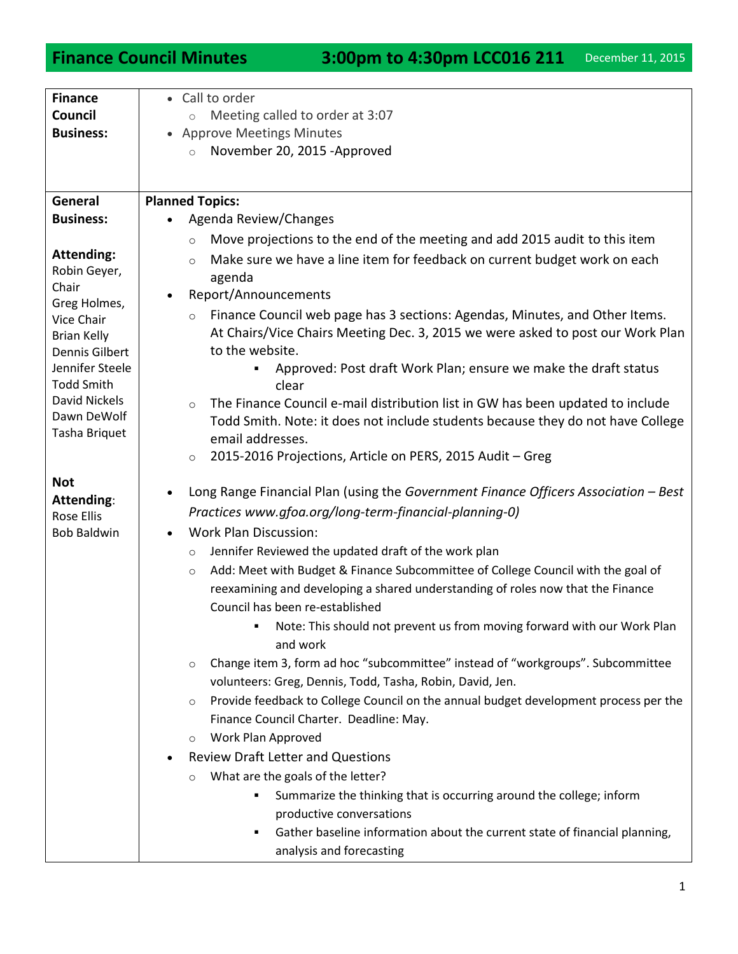**Finance Council Minutes 3:00pm to 4:30pm LCC016 211** December 11, 2015

| <b>Finance</b>                            | • Call to order                                                                                                                                                              |
|-------------------------------------------|------------------------------------------------------------------------------------------------------------------------------------------------------------------------------|
| Council                                   | Meeting called to order at 3:07<br>$\circ$                                                                                                                                   |
| <b>Business:</b>                          | • Approve Meetings Minutes                                                                                                                                                   |
|                                           | November 20, 2015 - Approved<br>$\circ$                                                                                                                                      |
|                                           |                                                                                                                                                                              |
|                                           |                                                                                                                                                                              |
| General                                   | <b>Planned Topics:</b>                                                                                                                                                       |
| <b>Business:</b>                          | Agenda Review/Changes                                                                                                                                                        |
|                                           | Move projections to the end of the meeting and add 2015 audit to this item<br>$\circ$                                                                                        |
| <b>Attending:</b>                         | Make sure we have a line item for feedback on current budget work on each<br>$\circ$                                                                                         |
| Robin Geyer,<br>Chair                     | agenda                                                                                                                                                                       |
| Greg Holmes,                              | Report/Announcements<br>٠                                                                                                                                                    |
| Vice Chair                                | Finance Council web page has 3 sections: Agendas, Minutes, and Other Items.<br>$\circ$                                                                                       |
| <b>Brian Kelly</b>                        | At Chairs/Vice Chairs Meeting Dec. 3, 2015 we were asked to post our Work Plan                                                                                               |
| Dennis Gilbert                            | to the website.                                                                                                                                                              |
| Jennifer Steele                           | Approved: Post draft Work Plan; ensure we make the draft status                                                                                                              |
| <b>Todd Smith</b><br><b>David Nickels</b> | clear                                                                                                                                                                        |
| Dawn DeWolf                               | The Finance Council e-mail distribution list in GW has been updated to include<br>$\circ$<br>Todd Smith. Note: it does not include students because they do not have College |
| Tasha Briquet                             | email addresses.                                                                                                                                                             |
|                                           | 2015-2016 Projections, Article on PERS, 2015 Audit - Greg<br>$\circ$                                                                                                         |
|                                           |                                                                                                                                                                              |
| <b>Not</b>                                | Long Range Financial Plan (using the Government Finance Officers Association - Best<br>$\bullet$                                                                             |
| Attending:                                | Practices www.gfoa.org/long-term-financial-planning-0)                                                                                                                       |
| <b>Rose Ellis</b><br><b>Bob Baldwin</b>   | <b>Work Plan Discussion:</b>                                                                                                                                                 |
|                                           | Jennifer Reviewed the updated draft of the work plan<br>$\circ$                                                                                                              |
|                                           | Add: Meet with Budget & Finance Subcommittee of College Council with the goal of<br>$\circ$                                                                                  |
|                                           | reexamining and developing a shared understanding of roles now that the Finance                                                                                              |
|                                           | Council has been re-established                                                                                                                                              |
|                                           | Note: This should not prevent us from moving forward with our Work Plan                                                                                                      |
|                                           | and work                                                                                                                                                                     |
|                                           | Change item 3, form ad hoc "subcommittee" instead of "workgroups". Subcommittee<br>$\circ$                                                                                   |
|                                           | volunteers: Greg, Dennis, Todd, Tasha, Robin, David, Jen.                                                                                                                    |
|                                           | Provide feedback to College Council on the annual budget development process per the<br>$\circ$                                                                              |
|                                           | Finance Council Charter. Deadline: May.                                                                                                                                      |
|                                           | Work Plan Approved<br>$\circ$                                                                                                                                                |
|                                           | <b>Review Draft Letter and Questions</b>                                                                                                                                     |
|                                           | What are the goals of the letter?<br>$\circ$                                                                                                                                 |
|                                           | Summarize the thinking that is occurring around the college; inform                                                                                                          |
|                                           | productive conversations                                                                                                                                                     |
|                                           | Gather baseline information about the current state of financial planning,<br>٠                                                                                              |
|                                           | analysis and forecasting                                                                                                                                                     |